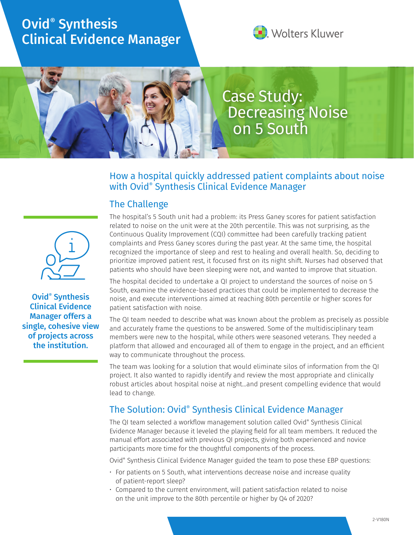# Ovid® Synthesis Clinical Evidence Manager



Case Study: Decreasing Noise on 5 South

#### How a hospital quickly addressed patient complaints about noise with Ovid® Synthesis Clinical Evidence Manager

### The Challenge



Ovid® Synthesis Clinical Evidence Manager offers a single, cohesive view of projects across the institution.

The hospital's 5 South unit had a problem: its Press Ganey scores for patient satisfaction related to noise on the unit were at the 20th percentile. This was not surprising, as the Continuous Quality Improvement (CQI) committee had been carefully tracking patient complaints and Press Ganey scores during the past year. At the same time, the hospital recognized the importance of sleep and rest to healing and overall health. So, deciding to prioritize improved patient rest, it focused first on its night shift. Nurses had observed that patients who should have been sleeping were not, and wanted to improve that situation.

The hospital decided to undertake a QI project to understand the sources of noise on 5 South, examine the evidence-based practices that could be implemented to decrease the noise, and execute interventions aimed at reaching 80th percentile or higher scores for patient satisfaction with noise.

The QI team needed to describe what was known about the problem as precisely as possible and accurately frame the questions to be answered. Some of the multidisciplinary team members were new to the hospital, while others were seasoned veterans. They needed a platform that allowed and encouraged all of them to engage in the project, and an efficient way to communicate throughout the process.

The team was looking for a solution that would eliminate silos of information from the QI project. It also wanted to rapidly identify and review the most appropriate and clinically robust articles about hospital noise at night...and present compelling evidence that would lead to change.

### The Solution: Ovid® Synthesis Clinical Evidence Manager

The QI team selected a workflow management solution called Ovid® Synthesis Clinical Evidence Manager because it leveled the playing field for all team members. It reduced the manual effort associated with previous QI projects, giving both experienced and novice participants more time for the thoughtful components of the process.

Ovid® Synthesis Clinical Evidence Manager guided the team to pose these EBP questions:

- For patients on 5 South, what interventions decrease noise and increase quality of patient-report sleep?
- Compared to the current environment, will patient satisfaction related to noise on the unit improve to the 80th percentile or higher by Q4 of 2020?